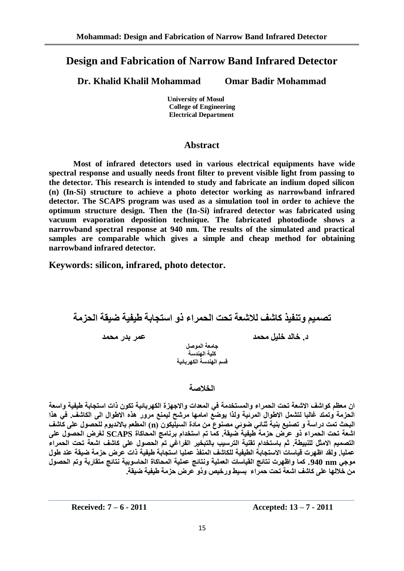# **Design and Fabrication of Narrow Band Infrared Detector**

**Dr. Khalid Khalil Mohammad Omar Badir Mohammad**

 **University of Mosul College of Engineering Electrical Department** 

### **Abstract**

**Most of infrared detectors used in various electrical equipments have wide spectral response and usually needs front filter to prevent visible light from passing to the detector. This research is intended to study and fabricate an indium doped silicon (n) (In-Si) structure to achieve a photo detector working as narrowband infrared detector. The SCAPS program was used as a simulation tool in order to achieve the optimum structure design. Then the (In-Si) infrared detector was fabricated using vacuum evaporation deposition technique. The fabricated photodiode shows a narrowband spectral response at 940 nm. The results of the simulated and practical samples are comparable which gives a simple and cheap method for obtaining narrowband infrared detector.**

**Keywords: silicon, infrared, photo detector.**

**حصًيى وحُفيز كاشف نالشؼت ححج انحًشاء رو اسخجابت طيفيت ضيقت انحزيت**

**د. خانذ خهيم يحًذ ػًش بذس يحًذ**

**جايؼت انًىصم كهيت انهُذست** قسم اله*ِندسة* الكهر بائية

### **انخالصت**

ان معظم كواشف الاشعة تحت الحمراء والمستخدمة في المعدات والاجهزة الكهربائية تكون ذات استجابة طيفية واسعة الحزمة وتمتد غالبا لتشمل الاطوال المرئية ولذا يوضع امامها مرشح ليمنع مرور هذه الاطوال ال*ى* الكاشف. ف*ي* هذا البحث تمت دراسة و تصنيع بنية ثُنائي ضوئي مصنوع من مادة السيليكون (n) المطعم بالانديوم للحصول على كاشف **اشؼت ححج انحًشاء رو ػشض حزيت طيفيت ضيقت. كًا حى اسخخذاو بشَايج انًحاكاة SCAPS نغشض انحصىل ػهى**  التصميم الامثل للنبيطة. ثم باستخدام تقنية الترسيب بالتبخير الفراغي تم الحصول على كاشف اشعة تحت الحمراء عمليا. ولقد اظهرت قياسات الاستجابة الطيفية للكاشف المنفذ عمليا استجابة طيفية ذات عرض حزمة ضيقة عند طول موجي 940 و940. كما واظهرت نتائج القياسات العملية ونتائج عملية المحاكاة الحاسوبية نتائج متقاربة وتم الحصول **يٍ خالنها ػهى كاشف اشؼت ححج حًشاء بسيط وسخيص ورو ػشض حزيت طيفيت ضيقت.**

**Received: 7 – 6 - 2011 Accepted: 13 – 7 - 2011**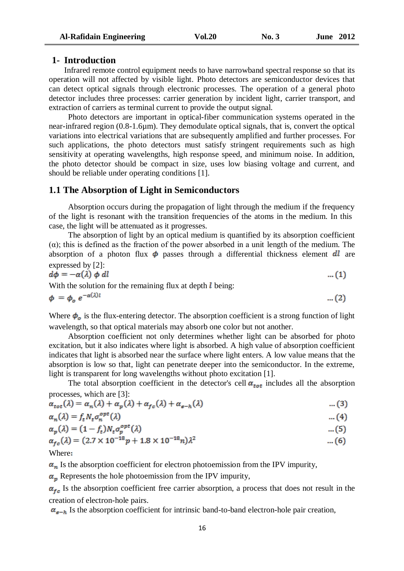#### **1- Introduction**

Infrared remote control equipment needs to have narrowband spectral response so that its operation will not affected by visible light. Photo detectors are semiconductor devices that can detect optical signals through electronic processes. The operation of a general photo detector includes three processes: carrier generation by incident light, carrier transport, and extraction of carriers as terminal current to provide the output signal.

Photo detectors are important in optical-fiber communication systems operated in the near-infrared region (0.8-1.6µm). They demodulate optical signals, that is, convert the optical variations into electrical variations that are subsequently amplified and further processes. For such applications, the photo detectors must satisfy stringent requirements such as high sensitivity at operating wavelengths, high response speed, and minimum noise. In addition, the photo detector should be compact in size, uses low biasing voltage and current, and should be reliable under operating conditions [1].

#### **1.1 The Absorption of Light in Semiconductors**

Absorption occurs during the propagation of light through the medium if the frequency of the light is resonant with the transition frequencies of the atoms in the medium. In this case, the light will be attenuated as it progresses.

The absorption of light by an optical medium is quantified by its absorption coefficient  $(\alpha)$ ; this is defined as the fraction of the power absorbed in a unit length of the medium. The absorption of a photon flux  $\phi$  passes through a differential thickness element dl are expressed by  $[2]$ :

$$
d\phi = -\alpha(\lambda) \phi \, dl \tag{1}
$$

With the solution for the remaining flux at depth  $\ell$  being:

$$
\phi = \phi_o \ e^{-\alpha(\lambda)l} \tag{2}
$$

Where  $\phi_o$  is the flux-entering detector. The absorption coefficient is a strong function of light wavelength, so that optical materials may absorb one color but not another.

Absorption coefficient not only determines whether light can be absorbed for photo excitation, but it also indicates where light is absorbed. A high value of absorption coefficient indicates that light is absorbed near the surface where light enters. A low value means that the absorption is low so that, light can penetrate deeper into the semiconductor. In the extreme, light is transparent for long wavelengths without photo excitation [1].

The total absorption coefficient in the detector's cell  $\alpha_{tot}$  includes all the absorption processes, which are [3]:

$$
\alpha_{tot}(\lambda) = \alpha_n(\lambda) + \alpha_p(\lambda) + \alpha_{fc}(\lambda) + \alpha_{e-h}(\lambda) \tag{3}
$$

$$
\alpha_n(\lambda) = f_t N_t \sigma_n^{opt}(\lambda) \tag{4}
$$

$$
\alpha_p(\lambda) = (1 - f_t) N_t \sigma_p^{opt}(\lambda) \tag{5}
$$

$$
\alpha_{fc}(\lambda) = (2.7 \times 10^{-18} p + 1.8 \times 10^{-18} n)\lambda^2 \qquad \qquad \dots (6)
$$

Where

 $\alpha_n$  Is the absorption coefficient for electron photoemission from the IPV impurity,

 $\alpha_p$  Represents the hole photoemission from the IPV impurity,

 $\alpha_{fc}$  Is the absorption coefficient free carrier absorption, a process that does not result in the creation of electron-hole pairs.

 $\alpha_{e-h}$  Is the absorption coefficient for intrinsic band-to-band electron-hole pair creation,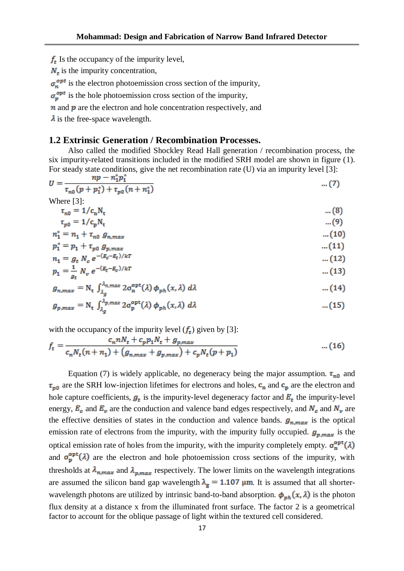$f_t$  Is the occupancy of the impurity level,

 $N_t$  is the impurity concentration,

 $\sigma_n^{opt}$  is the electron photoemission cross section of the impurity,

 $\sigma_n^{opt}$  is the hole photoemission cross section of the impurity,

 $\bf{n}$  and  $\bf{p}$  are the electron and hole concentration respectively, and

 $\lambda$  is the free-space wavelength.

#### **1.2 Extrinsic Generation / Recombination Processes.**

Also called the modified Shockley Read Hall generation / recombination process, the six impurity-related transitions included in the modified SRH model are shown in figure (1). For steady state conditions, give the net recombination rate (U) via an impurity level [3]:

$$
U = \frac{np - n_1^* p_1^*}{\tau_{n0}(p + p_1^*) + \tau_{p0}(n + n_1^*)}
$$
 ... (7)  
Where [3]

$$
\tau_{n0} = 1/c_n N_t
$$
 ... (8)  
\n
$$
\tau_{n0} = 1/c_0 N_t
$$

$$
u_{p0} = 1/v_p v_t
$$
  
\n
$$
n_1^* = n_1 + \tau_{m0} g_{n,max}
$$

$$
p_1^* = p_1 + \tau_{v0} g_{v,max} \tag{11}
$$

$$
n_1 = g_t N_c e^{-(E_c - E_t)/kT}
$$
 (12)

$$
p_1 = \frac{1}{g_t} N_v e^{-(E_t - E_v)/kT} \tag{13}
$$

$$
g_{n,max} = N_{t} \int_{\lambda_{g}}^{\lambda_{n,max}} 2\sigma_{n}^{\text{opt}}(\lambda) \phi_{ph}(x,\lambda) d\lambda \qquad \qquad \dots (14)
$$

$$
g_{p,max} = N_{t} \int_{\lambda_{g}}^{\lambda_{p,max}} 2\sigma_{p}^{\text{opt}}(\lambda) \phi_{ph}(x,\lambda) d\lambda \qquad ...(15)
$$

with the occupancy of the impurity level  $(f_t)$  given by [3]:

$$
f_t = \frac{c_n n N_t + c_p p_1 N_t + g_{p,max}}{c_n N_t (n + n_1) + (g_{n,max} + g_{p,max}) + c_p N_t (p + p_1)} \qquad \qquad \dots (16)
$$

Equation (7) is widely applicable, no degeneracy being the major assumption.  $\tau_{m0}$  and  $\tau_{p0}$  are the SRH low-injection lifetimes for electrons and holes,  $\mathbf{c}_n$  and  $\mathbf{c}_p$  are the electron and hole capture coefficients,  $g_t$  is the impurity-level degeneracy factor and  $E_t$  the impurity-level energy,  $E_c$  and  $E_v$  are the conduction and valence band edges respectively, and  $N_c$  and  $N_v$  are the effective densities of states in the conduction and valence bands.  $g_{n,max}$  is the optical emission rate of electrons from the impurity, with the impurity fully occupied.  $g_{p,max}$  is the optical emission rate of holes from the impurity, with the impurity completely empty.  $\sigma_n^{\text{opt}}(\lambda)$ and  $\sigma_p^{\text{opt}}(\lambda)$  are the electron and hole photoemission cross sections of the impurity, with thresholds at  $\lambda_{n,max}$  and  $\lambda_{n,max}$  respectively. The lower limits on the wavelength integrations are assumed the silicon band gap wavelength  $\lambda_{g} = 1.107 \mu m$ . It is assumed that all shorterwavelength photons are utilized by intrinsic band-to-band absorption.  $\phi_{nh}(x, \lambda)$  is the photon flux density at a distance x from the illuminated front surface. The factor 2 is a geometrical factor to account for the oblique passage of light within the textured cell considered.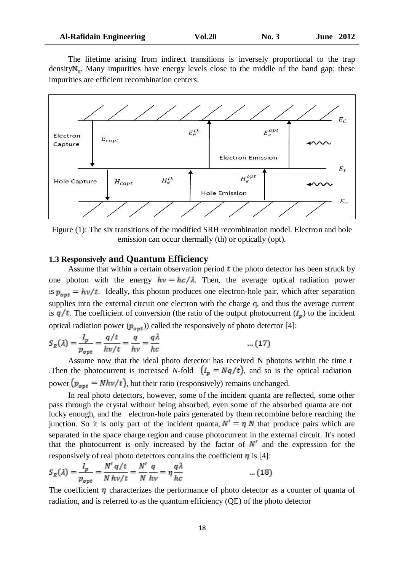|  | <b>Al-Rafidain Engineering</b> |
|--|--------------------------------|
|  |                                |

The lifetime arising from indirect transitions is inversely proportional to the trap density $N_t$ . Many impurities have energy levels close to the middle of the band gap; these impurities are efficient recombination centers.



Figure (1): The six transitions of the modified SRH recombination model. Electron and hole emission can occur thermally (th) or optically (opt).

#### **1.3 Responsively and Quantum Efficiency**

Assume that within a certain observation period  $t$  the photo detector has been struck by one photon with the energy  $hv = hc/\lambda$ . Then, the average optical radiation power is  $p_{\text{out}} = h\nu/t$ . Ideally, this photon produces one electron-hole pair, which after separation supplies into the external circuit one electron with the charge q, and thus the average current is  $q/t$ . The coefficient of conversion (the ratio of the output photocurrent  $(I_p)$ ) to the incident optical radiation power  $(p_{\text{out}})$  called the responsively of photo detector [4]:

$$
S_R(\lambda) = \frac{I_p}{p_{opt}} = \frac{q/t}{h\nu/t} = \frac{q}{h\nu} = \frac{q\lambda}{hc}
$$
 ... (17)

Assume now that the ideal photo detector has received N photons within the time t .Then the photocurrent is increased *N*-fold  $(I_p = Nq/t)$ , and so is the optical radiation power  $(p_{opt} = N h v/t)$ , but their ratio (responsively) remains unchanged.

In real photo detectors, however, some of the incident quanta are reflected, some other pass through the crystal without being absorbed, even some of the absorbed quanta are not lucky enough, and the electron-hole pairs generated by them recombine before reaching the junction. So it is only part of the incident quanta,  $N' = \eta N$  that produce pairs which are separated in the space charge region and cause photocurrent in the external circuit. It's noted that the photocurrent is only increased by the factor of  $N'$  and the expression for the responsively of real photo detectors contains the coefficient  $\eta$  is [4]:

$$
S_R(\lambda) = \frac{I_p}{p_{opt}} = \frac{N' q/t}{N h v/t} = \frac{N'}{N h v} = \eta \frac{q \lambda}{hc}
$$
 ... (18)

The coefficient  $\eta$  characterizes the performance of photo detector as a counter of quanta of radiation, and is referred to as the quantum efficiency (QE) of the photo detector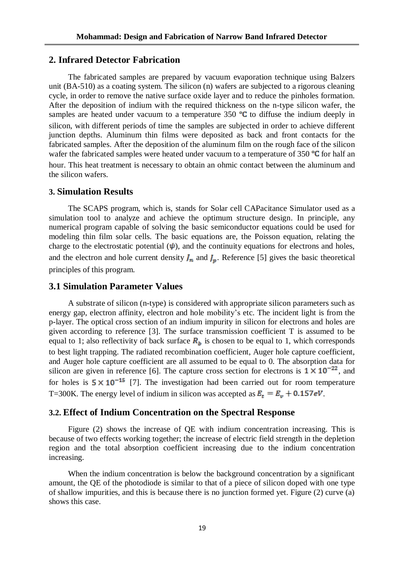#### **2. Infrared Detector Fabrication**

The fabricated samples are prepared by vacuum evaporation technique using Balzers unit (BA-510) as a coating system. The silicon (n) wafers are subjected to a rigorous cleaning cycle, in order to remove the native surface oxide layer and to reduce the pinholes formation. After the deposition of indium with the required thickness on the n-type silicon wafer, the samples are heated under vacuum to a temperature  $350$  °C to diffuse the indium deeply in silicon, with different periods of time the samples are subjected in order to achieve different junction depths. Aluminum thin films were deposited as back and front contacts for the fabricated samples. After the deposition of the aluminum film on the rough face of the silicon wafer the fabricated samples were heated under vacuum to a temperature of 350  $\textdegree$ C for half an hour. This heat treatment is necessary to obtain an ohmic contact between the aluminum and the silicon wafers.

#### **3. Simulation Results**

The SCAPS program, which is, stands for Solar cell CAPacitance Simulator used as a simulation tool to analyze and achieve the optimum structure design. In principle, any numerical program capable of solving the basic semiconductor equations could be used for modeling thin film solar cells. The basic equations are, the Poisson equation, relating the charge to the electrostatic potential  $(\psi)$ , and the continuity equations for electrons and holes, and the electron and hole current density  $J_n$  and  $J_n$ . Reference [5] gives the basic theoretical principles of this program.

### **3.1 Simulation Parameter Values**

A substrate of silicon (n-type) is considered with appropriate silicon parameters such as energy gap, electron affinity, electron and hole mobility's etc. The incident light is from the p-layer. The optical cross section of an indium impurity in silicon for electrons and holes are given according to reference [3]. The surface transmission coefficient T is assumed to be equal to 1; also reflectivity of back surface  $R<sub>b</sub>$  is chosen to be equal to 1, which corresponds to best light trapping. The radiated recombination coefficient, Auger hole capture coefficient, and Auger hole capture coefficient are all assumed to be equal to 0. The absorption data for silicon are given in reference [6]. The capture cross section for electrons is  $1 \times 10^{-22}$ , and for holes is  $5 \times 10^{-15}$  [7]. The investigation had been carried out for room temperature T=300K. The energy level of indium in silicon was accepted as  $E_t = E_v + 0.157eV$ .

#### **3.2. Effect of Indium Concentration on the Spectral Response**

Figure (2) shows the increase of QE with indium concentration increasing. This is because of two effects working together; the increase of electric field strength in the depletion region and the total absorption coefficient increasing due to the indium concentration increasing.

When the indium concentration is below the background concentration by a significant amount, the QE of the photodiode is similar to that of a piece of silicon doped with one type of shallow impurities, and this is because there is no junction formed yet. Figure (2) curve (a) shows this case.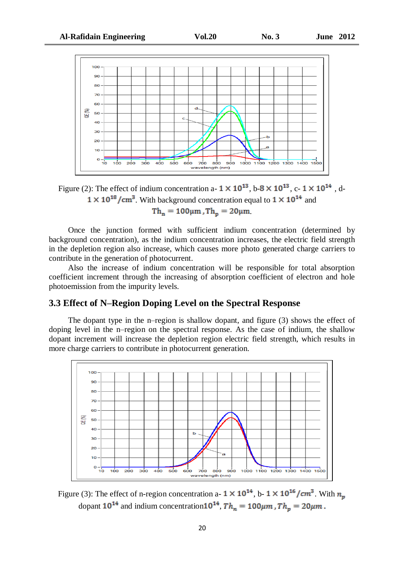

Figure (2): The effect of indium concentration a-  $1 \times 10^{13}$ , b- $8 \times 10^{13}$ , c-  $1 \times 10^{14}$ , d- $1 \times 10^{18}$ /cm<sup>3</sup>. With background concentration equal to  $1 \times 10^{14}$  and  $Th_n = 100 \mu m$ ,  $Th_n = 20 \mu m$ 

Once the junction formed with sufficient indium concentration (determined by background concentration), as the indium concentration increases, the electric field strength in the depletion region also increase, which causes more photo generated charge carriers to contribute in the generation of photocurrent.

Also the increase of indium concentration will be responsible for total absorption coefficient increment through the increasing of absorption coefficient of electron and hole photoemission from the impurity levels.

## **3.3 Effect of N–Region Doping Level on the Spectral Response**

The dopant type in the n–region is shallow dopant, and figure (3) shows the effect of doping level in the n–region on the spectral response. As the case of indium, the shallow dopant increment will increase the depletion region electric field strength, which results in more charge carriers to contribute in photocurrent generation.



Figure (3): The effect of n-region concentration a-  $1 \times 10^{14}$ , b-  $1 \times 10^{16}$ /cm<sup>3</sup>. With  $n_m$ dopant  $10^{14}$  and indium concentration  $10^{14}$ ,  $Th_n = 100 \mu m$ ,  $Th_p = 20 \mu m$ .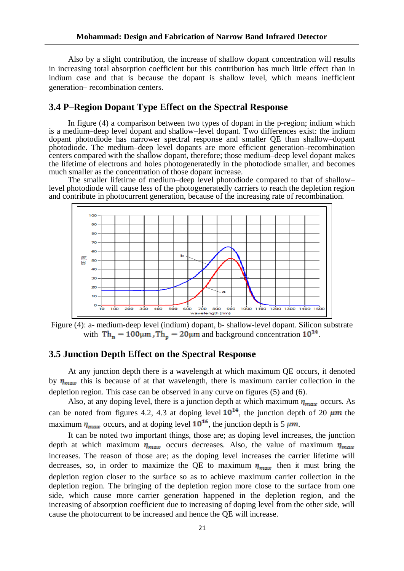Also by a slight contribution, the increase of shallow dopant concentration will results in increasing total absorption coefficient but this contribution has much little effect than in indium case and that is because the dopant is shallow level, which means inefficient generation– recombination centers.

#### **3.4 P–Region Dopant Type Effect on the Spectral Response**

In figure (4) a comparison between two types of dopant in the p-region; indium which is a medium–deep level dopant and shallow–level dopant. Two differences exist: the indium dopant photodiode has narrower spectral response and smaller QE than shallow–dopant photodiode. The medium–deep level dopants are more efficient generation–recombination centers compared with the shallow dopant, therefore; those medium–deep level dopant makes the lifetime of electrons and holes photogeneratedly in the photodiode smaller, and becomes much smaller as the concentration of those dopant increase.

The smaller lifetime of medium–deep level photodiode compared to that of shallow– level photodiode will cause less of the photogeneratedly carriers to reach the depletion region and contribute in photocurrent generation, because of the increasing rate of recombination.



Figure (4): a- medium-deep level (indium) dopant, b- shallow-level dopant. Silicon substrate with  $Th_n = 100 \mu m$ ,  $Th_p = 20 \mu m$  and background concentration  $10^{14}$ .

#### **3.5 Junction Depth Effect on the Spectral Response**

At any junction depth there is a wavelength at which maximum QE occurs, it denoted by  $\eta_{max}$  this is because of at that wavelength, there is maximum carrier collection in the depletion region. This case can be observed in any curve on figures (5) and (6).

Also, at any doping level, there is a junction depth at which maximum  $\eta_{max}$  occurs. As can be noted from figures 4.2, 4.3 at doping level  $10^{14}$ , the junction depth of 20  $\mu$ m the maximum  $\eta_{max}$  occurs, and at doping level  $10^{16}$ , the junction depth is 5  $\mu$ m.

It can be noted two important things, those are; as doping level increases, the junction depth at which maximum  $\eta_{max}$  occurs decreases. Also, the value of maximum  $\eta_{max}$ increases. The reason of those are; as the doping level increases the carrier lifetime will decreases, so, in order to maximize the QE to maximum  $\eta_{max}$  then it must bring the depletion region closer to the surface so as to achieve maximum carrier collection in the depletion region. The bringing of the depletion region more close to the surface from one side, which cause more carrier generation happened in the depletion region, and the increasing of absorption coefficient due to increasing of doping level from the other side, will cause the photocurrent to be increased and hence the QE will increase.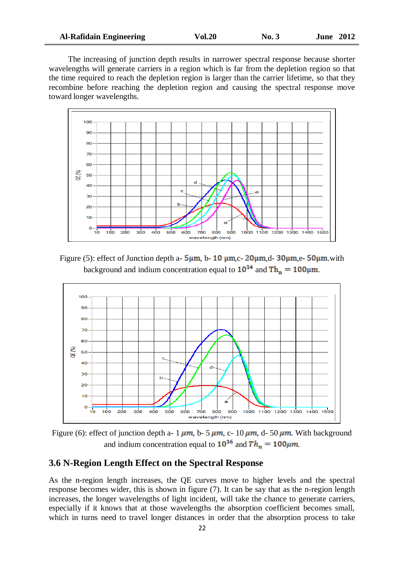| <b>Al-Rafidain Engineering</b> | <b>Vol.20</b> | $\mathbf{N}\mathbf{0.3}$ | <b>June 2012</b> |
|--------------------------------|---------------|--------------------------|------------------|
|--------------------------------|---------------|--------------------------|------------------|

The increasing of junction depth results in narrower spectral response because shorter wavelengths will generate carriers in a region which is far from the depletion region so that the time required to reach the depletion region is larger than the carrier lifetime, so that they recombine before reaching the depletion region and causing the spectral response move toward longer wavelengths.



Figure (5): effect of Junction depth a-  $5\mu$ m, b- 10  $\mu$ m, c-  $20\mu$ m, d-  $30\mu$ m, e-  $50\mu$ m, with background and indium concentration equal to  $10^{14}$  and  $\text{Th}_{n} = 100 \mu \text{m}$ .



Figure (6): effect of junction depth a- 1  $\mu$ m, b- 5  $\mu$ m, c- 10  $\mu$ m, d- 50  $\mu$ m. With background and indium concentration equal to  $10^{16}$  and  $Th_n = 100 \mu m$ .

#### **3.6 N-Region Length Effect on the Spectral Response**

As the n-region length increases, the QE curves move to higher levels and the spectral response becomes wider, this is shown in figure (7). It can be say that as the n-region length increases, the longer wavelengths of light incident, will take the chance to generate carriers, especially if it knows that at those wavelengths the absorption coefficient becomes small, which in turns need to travel longer distances in order that the absorption process to take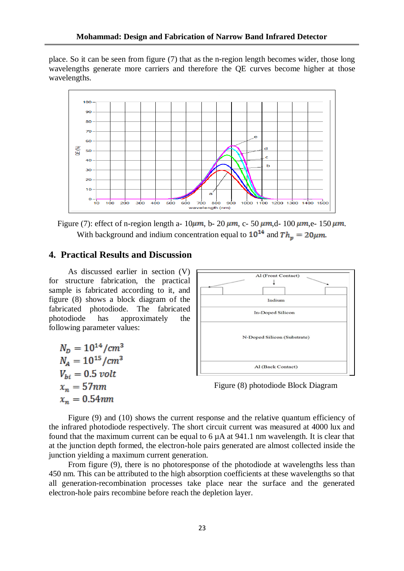place. So it can be seen from figure (7) that as the n-region length becomes wider, those long wavelengths generate more carriers and therefore the QE curves become higher at those wavelengths.



Figure (7): effect of n-region length a-  $10 \mu m$ , b-  $20 \mu m$ , c-  $50 \mu m$ , d-  $100 \mu m$ , e-  $150 \mu m$ . With background and indium concentration equal to  $10^{14}$  and  $Th_m = 20 \mu m$ .

#### **4. Practical Results and Discussion**

As discussed earlier in section (V) for structure fabrication, the practical sample is fabricated according to it, and figure (8) shows a block diagram of the fabricated photodiode. The fabricated photodiode has approximately the following parameter values:

 $N_D = 10^{14}/cm^3$  $N_A = 10^{15}/cm^3$  $V_{hi} = 0.5$  volt  $x_n = 57nm$  $x_n = 0.54$ *mm* 



Figure (8) photodiode Block Diagram

Figure (9) and (10) shows the current response and the relative quantum efficiency of the infrared photodiode respectively. The short circuit current was measured at 4000 lux and found that the maximum current can be equal to  $6 \mu A$  at 941.1 nm wavelength. It is clear that at the junction depth formed, the electron-hole pairs generated are almost collected inside the junction yielding a maximum current generation.

From figure (9), there is no photoresponse of the photodiode at wavelengths less than 450 nm. This can be attributed to the high absorption coefficients at these wavelengths so that all generation-recombination processes take place near the surface and the generated electron-hole pairs recombine before reach the depletion layer.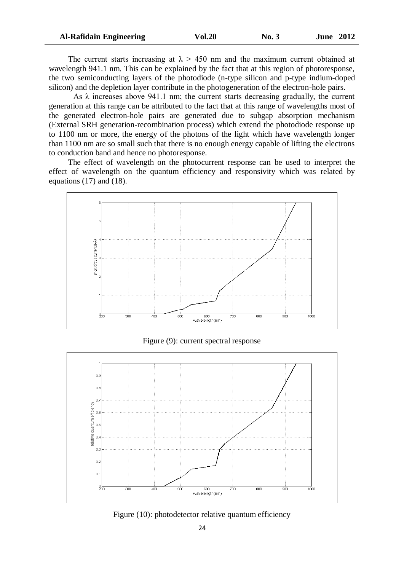| <b>Al-Rafidain Engineering</b> | <b>Vol.20</b> | No. 3 | <b>June 2012</b> |
|--------------------------------|---------------|-------|------------------|
|--------------------------------|---------------|-------|------------------|

The current starts increasing at  $\lambda > 450$  nm and the maximum current obtained at wavelength 941.1 nm. This can be explained by the fact that at this region of photoresponse, the two semiconducting layers of the photodiode (n-type silicon and p-type indium-doped silicon) and the depletion layer contribute in the photogeneration of the electron-hole pairs.

As  $\lambda$  increases above 941.1 nm; the current starts decreasing gradually, the current generation at this range can be attributed to the fact that at this range of wavelengths most of the generated electron-hole pairs are generated due to subgap absorption mechanism (External SRH generation-recombination process) which extend the photodiode response up to 1100 nm or more, the energy of the photons of the light which have wavelength longer than 1100 nm are so small such that there is no enough energy capable of lifting the electrons to conduction band and hence no photoresponse.

The effect of wavelength on the photocurrent response can be used to interpret the effect of wavelength on the quantum efficiency and responsivity which was related by equations (17) and (18).



Figure (9): current spectral response



Figure (10): photodetector relative quantum efficiency